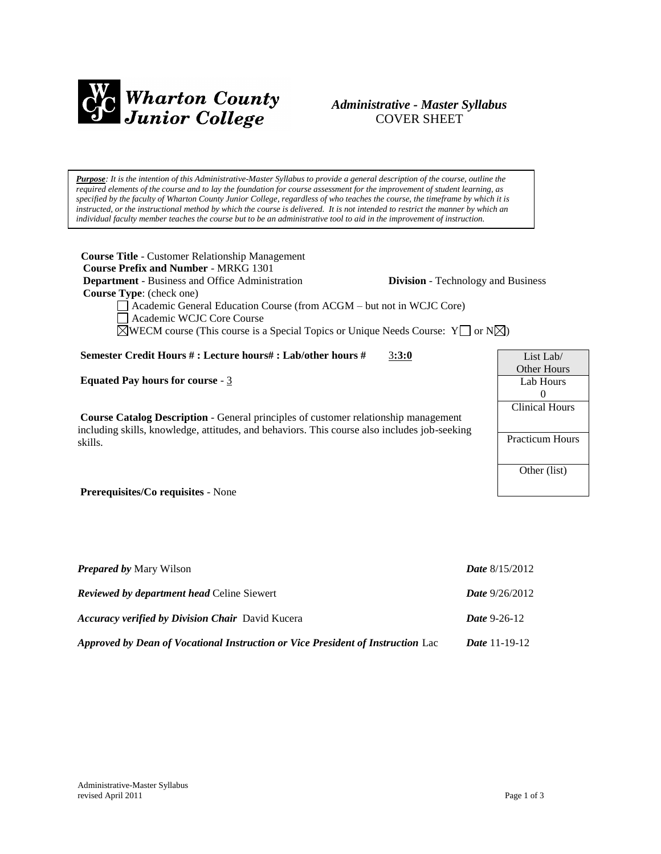

# *Administrative - Master Syllabus*  COVER SHEET

*Purpose: It is the intention of this Administrative-Master Syllabus to provide a general description of the course, outline the required elements of the course and to lay the foundation for course assessment for the improvement of student learning, as specified by the faculty of Wharton County Junior College, regardless of who teaches the course, the timeframe by which it is instructed, or the instructional method by which the course is delivered. It is not intended to restrict the manner by which an individual faculty member teaches the course but to be an administrative tool to aid in the improvement of instruction.*

**Course Title** - Customer Relationship Management  **Course Prefix and Number** - MRKG 1301 **Department** - Business and Office Administration **Division** - Technology and Business  **Course Type**: (check one) Academic General Education Course (from ACGM – but not in WCJC Core) Academic WCJC Core Course  $\boxtimes$ WECM course (This course is a Special Topics or Unique Needs Course: Y  $\Box$  or N $\boxtimes$ ) **Semester Credit Hours # : Lecture hours# : Lab/other hours #** 3**:3:0 Equated Pay hours for course** - 3 **Course Catalog Description** - General principles of customer relationship management including skills, knowledge, attitudes, and behaviors. This course also includes job-seeking skills. **Prerequisites/Co requisites** - None List Lab/ Other Hours Lab Hours  $\Omega$ Clinical Hours Practicum Hours Other (list)

| <b>Prepared by Mary Wilson</b>                                                  | <b>Date</b> $8/15/2012$ |
|---------------------------------------------------------------------------------|-------------------------|
| <b>Reviewed by department head Celine Siewert</b>                               | <b>Date</b> $9/26/2012$ |
| <b>Accuracy verified by Division Chair</b> David Kucera                         | <i>Date</i> 9-26-12     |
| Approved by Dean of Vocational Instruction or Vice President of Instruction Lac | <i>Date</i> 11-19-12    |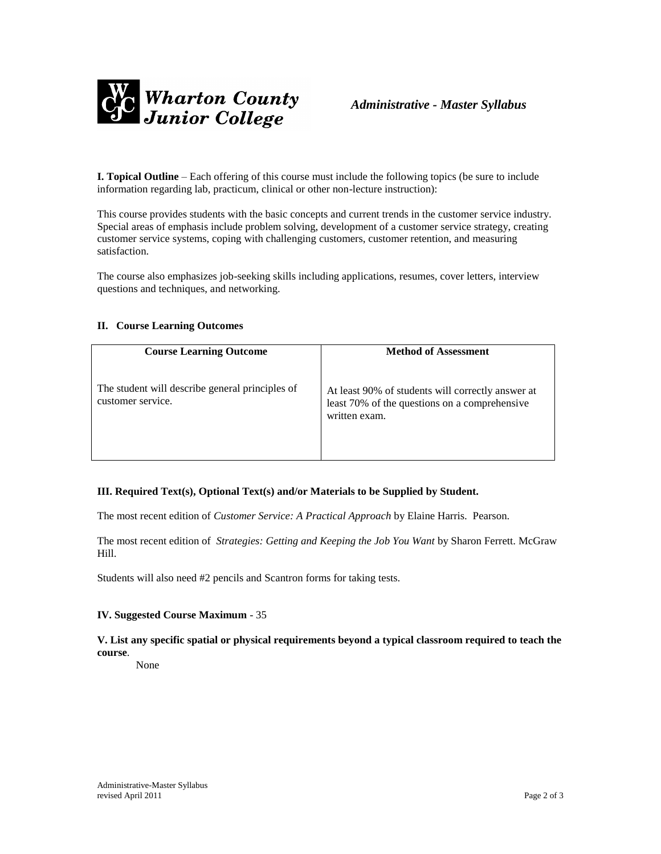

**I. Topical Outline** – Each offering of this course must include the following topics (be sure to include information regarding lab, practicum, clinical or other non-lecture instruction):

This course provides students with the basic concepts and current trends in the customer service industry. Special areas of emphasis include problem solving, development of a customer service strategy, creating customer service systems, coping with challenging customers, customer retention, and measuring satisfaction.

The course also emphasizes job-seeking skills including applications, resumes, cover letters, interview questions and techniques, and networking.

### **II. Course Learning Outcomes**

| <b>Course Learning Outcome</b>                                       | <b>Method of Assessment</b>                                                                                         |
|----------------------------------------------------------------------|---------------------------------------------------------------------------------------------------------------------|
| The student will describe general principles of<br>customer service. | At least 90% of students will correctly answer at<br>least 70% of the questions on a comprehensive<br>written exam. |

#### **III. Required Text(s), Optional Text(s) and/or Materials to be Supplied by Student.**

The most recent edition of *Customer Service: A Practical Approach* by Elaine Harris. Pearson.

The most recent edition of *Strategies: Getting and Keeping the Job You Want* by Sharon Ferrett. McGraw Hill.

Students will also need #2 pencils and Scantron forms for taking tests.

#### **IV. Suggested Course Maximum** - 35

## **V. List any specific spatial or physical requirements beyond a typical classroom required to teach the course**.

None